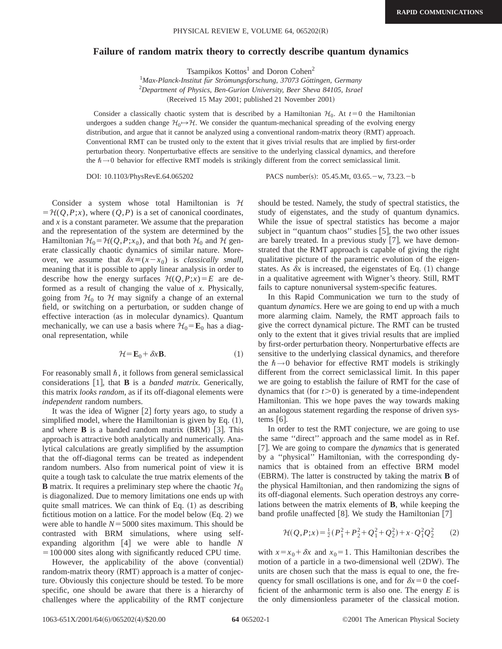## **Failure of random matrix theory to correctly describe quantum dynamics**

Tsampikos  $Kottos<sup>1</sup>$  and Doron Cohen<sup>2</sup>

<sup>1</sup>Max-Planck-Institut für Strömungsforschung, 37073 Göttingen, Germany 2 *Department of Physics, Ben-Gurion University, Beer Sheva 84105, Israel* (Received 15 May 2001; published 21 November 2001)

Consider a classically chaotic system that is described by a Hamiltonian  $\mathcal{H}_0$ . At  $t=0$  the Hamiltonian undergoes a sudden change  $\mathcal{H}_0 \rightarrow \mathcal{H}$ . We consider the quantum-mechanical spreading of the evolving energy distribution, and argue that it cannot be analyzed using a conventional random-matrix theory (RMT) approach. Conventional RMT can be trusted only to the extent that it gives trivial results that are implied by first-order perturbation theory. Nonperturbative effects are sensitive to the underlying classical dynamics, and therefore the  $\hbar \rightarrow 0$  behavior for effective RMT models is strikingly different from the correct semiclassical limit.

DOI: 10.1103/PhysRevE.64.065202 PACS number(s): 05.45.Mt, 03.65. - w, 73.23. - b

Consider a system whose total Hamiltonian is  $H$  $=$   $H(Q, P; x)$ , where  $(Q, P)$  is a set of canonical coordinates, and *x* is a constant parameter. We assume that the preparation and the representation of the system are determined by the Hamiltonian  $\mathcal{H}_0 = \mathcal{H}(Q, P; x_0)$ , and that both  $\mathcal{H}_0$  and  $\mathcal{H}$  generate classically chaotic dynamics of similar nature. Moreover, we assume that  $\delta x \equiv (x - x_0)$  is *classically small*, meaning that it is possible to apply linear analysis in order to describe how the energy surfaces  $H(Q, P; x) = E$  are deformed as a result of changing the value of *x*. Physically, going from  $H_0$  to H may signify a change of an external field, or switching on a perturbation, or sudden change of effective interaction (as in molecular dynamics). Quantum mechanically, we can use a basis where  $H_0 = \mathbf{E}_0$  has a diagonal representation, while

$$
\mathcal{H} = \mathbf{E}_0 + \delta x \mathbf{B}.\tag{1}
$$

For reasonably small  $\hbar$ , it follows from general semiclassical considerations  $[1]$ , that **B** is a *banded matrix*. Generically, this matrix *looks random*, as if its off-diagonal elements were *independent* random numbers.

It was the idea of Wigner  $[2]$  forty years ago, to study a simplified model, where the Hamiltonian is given by Eq.  $(1)$ , and where  $\bf{B}$  is a banded random matrix  $(BRM)$  [3]. This approach is attractive both analytically and numerically. Analytical calculations are greatly simplified by the assumption that the off-diagonal terms can be treated as independent random numbers. Also from numerical point of view it is quite a tough task to calculate the true matrix elements of the **B** matrix. It requires a preliminary step where the chaotic  $\mathcal{H}_0$ is diagonalized. Due to memory limitations one ends up with quite small matrices. We can think of Eq.  $(1)$  as describing fictitious motion on a lattice. For the model below  $(Eq. 2)$  we were able to handle  $N = 5000$  sites maximum. This should be contrasted with BRM simulations, where using selfexpanding algorithm  $[4]$  we were able to handle *N*  $=100 000$  sites along with significantly reduced CPU time.

However, the applicability of the above (convential) random-matrix theory (RMT) approach is a matter of conjecture. Obviously this conjecture should be tested. To be more specific, one should be aware that there is a hierarchy of challenges where the applicability of the RMT conjecture should be tested. Namely, the study of spectral statistics, the study of eigenstates, and the study of quantum dynamics. While the issue of spectral statistics has become a major subject in "quantum chaos" studies  $[5]$ , the two other issues are barely treated. In a previous study  $[7]$ , we have demonstrated that the RMT approach is capable of giving the right qualitative picture of the parametric evolution of the eigenstates. As  $\delta x$  is increased, the eigenstates of Eq.  $(1)$  change in a qualitative agreement with Wigner's theory. Still, RMT fails to capture nonuniversal system-specific features.

In this Rapid Communication we turn to the study of quantum *dynamics*. Here we are going to end up with a much more alarming claim. Namely, the RMT approach fails to give the correct dynamical picture. The RMT can be trusted only to the extent that it gives trivial results that are implied by first-order perturbation theory. Nonperturbative effects are sensitive to the underlying classical dynamics, and therefore the  $\hbar \rightarrow 0$  behavior for effective RMT models is strikingly different from the correct semiclassical limit. In this paper we are going to establish the failure of RMT for the case of dynamics that (for  $t > 0$ ) is generated by a time-independent Hamiltonian. This we hope paves the way towards making an analogous statement regarding the response of driven systems  $[6]$ .

In order to test the RMT conjecture, we are going to use the same ''direct'' approach and the same model as in Ref. [7]. We are going to compare the *dynamics* that is generated by a ''physical'' Hamiltonian, with the corresponding dynamics that is obtained from an effective BRM model (EBRM). The latter is constructed by taking the matrix **B** of the physical Hamiltonian, and then randomizing the signs of its off-diagonal elements. Such operation destroys any correlations between the matrix elements of **B**, while keeping the band profile unaffected  $[8]$ . We study the Hamiltonian  $[7]$ 

$$
\mathcal{H}(Q, P; x) = \frac{1}{2}(P_1^2 + P_2^2 + Q_1^2 + Q_2^2) + x \cdot Q_1^2 Q_2^2 \tag{2}
$$

with  $x=x_0+\delta x$  and  $x_0=1$ . This Hamiltonian describes the motion of a particle in a two-dimensional well  $(2DW)$ . The units are chosen such that the mass is equal to one, the frequency for small oscillations is one, and for  $\delta x = 0$  the coefficient of the anharmonic term is also one. The energy *E* is the only dimensionless parameter of the classical motion.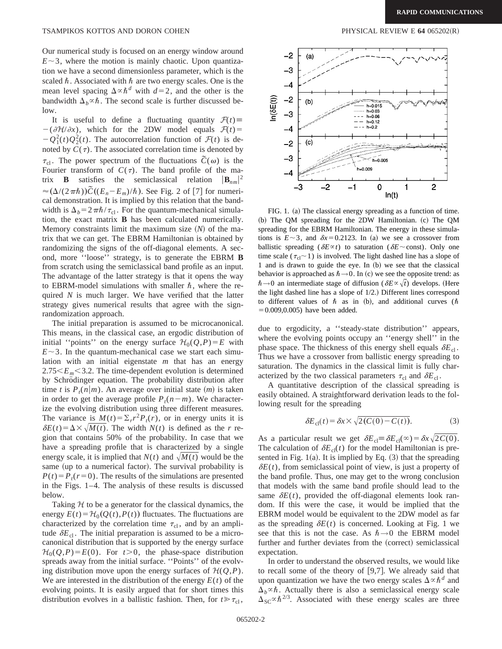Our numerical study is focused on an energy window around  $E \sim 3$ , where the motion is mainly chaotic. Upon quantization we have a second dimensionless parameter, which is the scaled  $\hbar$ . Associated with  $\hbar$  are two energy scales. One is the mean level spacing  $\Delta \propto \hbar^d$  with  $d=2$ , and the other is the bandwidth  $\Delta_h \propto \hbar$ . The second scale is further discussed below.

It is useful to define a fluctuating quantity  $\mathcal{F}(t)$  $-(\partial \mathcal{H}/\partial x)$ , which for the 2DW model equals  $\mathcal{F}(t)$ =  $-Q_1^2(t)Q_2^2(t)$ . The autocorrelation function of  $\mathcal{F}(t)$  is denoted by  $C(\tau)$ . The associated correlation time is denoted by  $\tau_{\rm cl}$ . The power spectrum of the fluctuations  $\tilde{C}(\omega)$  is the Fourier transform of  $C(\tau)$ . The band profile of the matrix **B** satisfies the semiclassical relation  $|\mathbf{B}_{nm}|^2$  $\approx (\Delta/(2\pi\hbar))\tilde{C}((E_n-E_m)/\hbar)$ . See Fig. 2 of [7] for numerical demonstration. It is implied by this relation that the bandwidth is  $\Delta_b = 2\pi\hbar/\tau_{\rm cl}$ . For the quantum-mechanical simulation, the exact matrix **B** has been calculated numerically. Memory constraints limit the maximum size  $(N)$  of the matrix that we can get. The EBRM Hamiltonian is obtained by randomizing the signs of the off-diagonal elements. A second, more ''loose'' strategy, is to generate the EBRM **B** from scratch using the semiclassical band profile as an input. The advantage of the latter strategy is that it opens the way to EBRM-model simulations with smaller  $\hbar$ , where the required *N* is much larger. We have verified that the latter strategy gives numerical results that agree with the signrandomization approach.

The initial preparation is assumed to be microcanonical. This means, in the classical case, an ergodic distribution of initial "points" on the energy surface  $\mathcal{H}_0(Q, P) = E$  with  $E \sim 3$ . In the quantum-mechanical case we start each simulation with an initial eigenstate *m* that has an energy  $2.75\leq E_m \leq 3.2$ . The time-dependent evolution is determined by Schrödinger equation. The probability distribution after time *t* is  $P_t(n|m)$ . An average over initial state  $(m)$  is taken in order to get the average profile  $P_t(n-m)$ . We characterize the evolving distribution using three different measures. The variance is  $M(t) = \sum_{r} r^2 P_t(r)$ , or in energy units it is  $\delta E(t) = \Delta \times \sqrt{M(t)}$ . The width  $N(t)$  is defined as the *r* region that contains 50% of the probability. In case that we have a spreading profile that is characterized by a single energy scale, it is implied that  $N(t)$  and  $\sqrt{M(t)}$  would be the same (up to a numerical factor). The survival probability is  $P(t) = P_t(r=0)$ . The results of the simulations are presented in the Figs. 1–4. The analysis of these results is discussed below.

Taking  $H$  to be a generator for the classical dynamics, the energy  $E(t) = H_0(Q(t), P(t))$  fluctuates. The fluctuations are characterized by the correlation time  $\tau_{cl}$ , and by an amplitude  $\delta E_{cl}$ . The initial preparation is assumed to be a microcanonical distribution that is supported by the energy surface  $\mathcal{H}_0(Q, P) = E(0)$ . For  $t > 0$ , the phase-space distribution spreads away from the initial surface. ''Points'' of the evolving distribution move upon the energy surfaces of  $H(Q, P)$ . We are interested in the distribution of the energy  $E(t)$  of the evolving points. It is easily argued that for short times this distribution evolves in a ballistic fashion. Then, for  $t \ge \tau_{\rm cl}$ ,



FIG. 1. (a) The classical energy spreading as a function of time. (b) The QM spreading for the 2DW Hamiltonian. (c) The QM spreading for the EBRM Hamiltonian. The energy in these simulations is  $E \sim 3$ , and  $\delta x = 0.2123$ . In (a) we see a crossover from ballistic spreading ( $\delta E \propto t$ ) to saturation ( $\delta E \sim$  const). Only one time scale ( $\tau_{cl}$  ~ 1) is involved. The light dashed line has a slope of 1 and is drawn to guide the eye. In (b) we see that the classical behavior is approached as  $\hbar \rightarrow 0$ . In (c) we see the opposite trend: as  $\hbar \rightarrow 0$  an intermediate stage of diffusion ( $\delta E \propto \sqrt{t}$ ) develops. (Here the light dashed line has a slope of  $1/2$ .) Different lines correspond to different values of  $\hbar$  as in (b), and additional curves ( $\hbar$  $=0.009, 0.005$ ) have been added.

due to ergodicity, a ''steady-state distribution'' appears, where the evolving points occupy an ''energy shell'' in the phase space. The thickness of this energy shell equals  $\delta E_{\text{cl}}$ . Thus we have a crossover from ballistic energy spreading to saturation. The dynamics in the classical limit is fully characterized by the two classical parameters  $\tau_{\rm cl}$  and  $\delta E_{\rm cl}$ .

A quantitative description of the classical spreading is easily obtained. A straightforward derivation leads to the following result for the spreading

$$
\delta E_{\rm cl}(t) = \delta x \times \sqrt{2(C(0) - C(t))}.\tag{3}
$$

As a particular result we get  $\delta E_{\text{cl}} \equiv \delta E_{\text{cl}}(\infty) = \delta x \sqrt{2C(0)}$ . The calculation of  $\delta E_{cl}(t)$  for the model Hamiltonian is presented in Fig. 1(a). It is implied by Eq.  $(3)$  that the spreading  $\delta E(t)$ , from semiclassical point of view, is just a property of the band profile. Thus, one may get to the wrong conclusion that models with the same band profile should lead to the same  $\delta E(t)$ , provided the off-diagonal elements look random. If this were the case, it would be implied that the EBRM model would be equivalent to the 2DW model as far as the spreading  $\delta E(t)$  is concerned. Looking at Fig. 1 we see that this is not the case. As  $\hbar \rightarrow 0$  the EBRM model further and further deviates from the (correct) semiclassical expectation.

In order to understand the observed results, we would like to recall some of the theory of  $[9,7]$ . We already said that upon quantization we have the two energy scales  $\Delta \propto \hbar^d$  and  $\Delta_b \propto \hbar$ . Actually there is also a semiclassical energy scale  $\Delta_{SC} \propto \hbar^{2/3}$ . Associated with these energy scales are three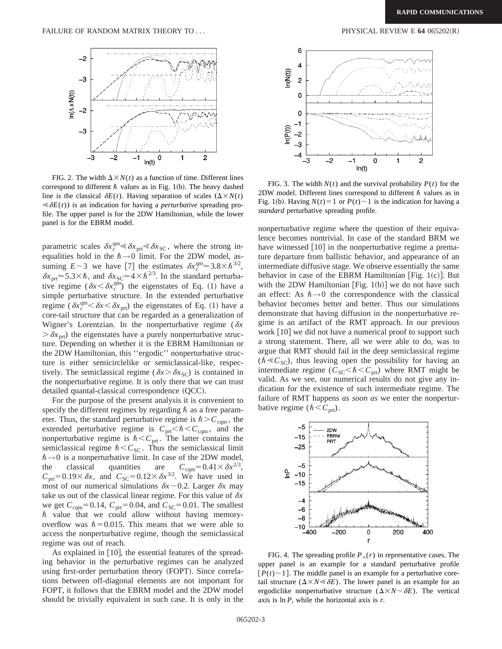

FIG. 2. The width  $\Delta \times N(t)$  as a function of time. Different lines correspond to different  $\hbar$  values as in Fig. 1(b). The heavy dashed line is the classical  $\delta E(t)$ . Having separation of scales  $(\Delta \times N(t))$  $\ll \delta E(t)$  is an indication for having a *perturbative* spreading profile. The upper panel is for the 2DW Hamiltonian, while the lower panel is for the EBRM model.

parametric scales  $\delta x_c^{\text{qm}} \leq \delta x_{\text{prt}} \leq \delta x_{\text{SC}}$ , where the strong inequalities hold in the  $\hbar \rightarrow 0$  limit. For the 2DW model, assuming  $E \sim 3$  we have [7] the estimates  $\delta x_c^{\text{qm}} \approx 3.8 \times \hbar^{3/2}$ ,  $\delta x_{\text{prt}} \approx 5.3 \times \hbar$ , and  $\delta x_{\text{SC}} \approx 4 \times \hbar^{2/3}$ . In the standard perturbative regime ( $\delta x < \delta x_c^{\text{qm}}$ ) the eigenstates of Eq. (1) have a simple perturbative structure. In the extended perturbative regime ( $\delta x_c^{\text{qm}} < \delta x < \delta x_{\text{prt}}$ ) the eigenstates of Eq. (1) have a core-tail structure that can be regarded as a generalization of Wigner's Lorentzian. In the nonperturbative regime ( $\delta x$  $\delta x_{\text{net}}$ ) the eigenstates have a purely nonperturbative structure. Depending on whether it is the EBRM Hamiltonian or the 2DW Hamiltonian, this ''ergodic'' nonperturbative structure is either semicirclelike or semiclassical-like, respectively. The semiclassical regime ( $\delta x > \delta x_{\rm SC}$ ) is contained in the nonperturbative regime. It is only there that we can trust  $d$ etailed quantal-classical correspondence  $(QCC)$ .

For the purpose of the present analysis it is convenient to specify the different regimes by regarding  $\hbar$  as a free parameter. Thus, the standard perturbative regime is  $\hbar > C_{\text{cqm}}$ , the extended perturbative regime is  $C_{\text{prt}} < \hbar < C_{\text{cqm}}$ , and the nonperturbative regime is  $\hbar < C_{\text{prt}}$ . The latter contains the semiclassical regime  $\hbar < C_{SC}$ . Thus the semiclassical limit  $\hbar \rightarrow 0$  is a nonperturbative limit. In case of the 2DW model, the classical quantities are  $C_{\text{cqm}}=0.41\times \delta x^{2/3}$ ,  $C_{\text{prt}}=0.19\times\delta x$ , and  $C_{\text{SC}}=0.12\times\delta x^{3/2}$ . We have used in most of our numerical simulations  $\delta x \sim 0.2$ . Larger  $\delta x$  may take us out of the classical linear regime. For this value of  $\delta x$ we get  $C_{\text{cgm}}=0.14$ ,  $C_{\text{prt}}=0.04$ , and  $C_{\text{SC}}=0.01$ . The smallest  $\hbar$  value that we could allow without having memoryoverflow was  $\hbar$  = 0.015. This means that we were able to access the nonperturbative regime, though the semiclassical regime was out of reach.

As explained in  $[10]$ , the essential features of the spreading behavior in the perturbative regimes can be analyzed using first-order perturbation theory (FOPT). Since correlations between off-diagonal elements are not important for FOPT, it follows that the EBRM model and the 2DW model should be trivially equivalent in such case. It is only in the



FIG. 3. The width  $N(t)$  and the survival probability  $P(t)$  for the 2DW model. Different lines correspond to different  $\hbar$  values as in Fig. 1(b). Having  $N(t) = 1$  or  $P(t) \sim 1$  is the indication for having a *standard* perturbative spreading profile.

nonperturbative regime where the question of their equivalence becomes nontrivial. In case of the standard BRM we have witnessed  $\lceil 10 \rceil$  in the nonperturbative regime a premature departure from ballistic behavior, and appearance of an intermediate diffusive stage. We observe essentially the same behavior in case of the EBRM Hamiltonian [Fig. 1(c)]. But with the 2DW Hamiltonian  $[Fig. 1(b)]$  we do not have such an effect: As  $\hbar \rightarrow 0$  the correspondence with the classical behavior becomes better and better. Thus our simulations demonstrate that having diffusion in the nonperturbative regime is an artifact of the RMT approach. In our previous work  $\lceil 10 \rceil$  we did not have a numerical proof to support such a strong statement. There, all we were able to do, was to argue that RMT should fail in the deep semiclassical regime  $(\hbar \ll C_{\rm SC})$ , thus leaving open the possibility for having an intermediate regime ( $C_{SC} < \hbar < C_{prt}$ ) where RMT might be valid. As we see, our numerical results do not give any indication for the existence of such intermediate regime. The failure of RMT happens *as soon as* we enter the nonperturbative regime  $(\hbar < C<sub>prt</sub>)$ .



FIG. 4. The spreading profile  $P_\infty(r)$  in representative cases. The upper panel is an example for a standard perturbative profile  $[P(t) \sim 1]$ . The middle panel is an example for a perturbative coretail structure  $(\Delta \times N \le \delta E)$ . The lower panel is an example for an ergodiclike nonperturbative structure  $(\Delta \times N \sim \delta E)$ . The vertical axis is ln *P*, while the horizontal axis is *r*.